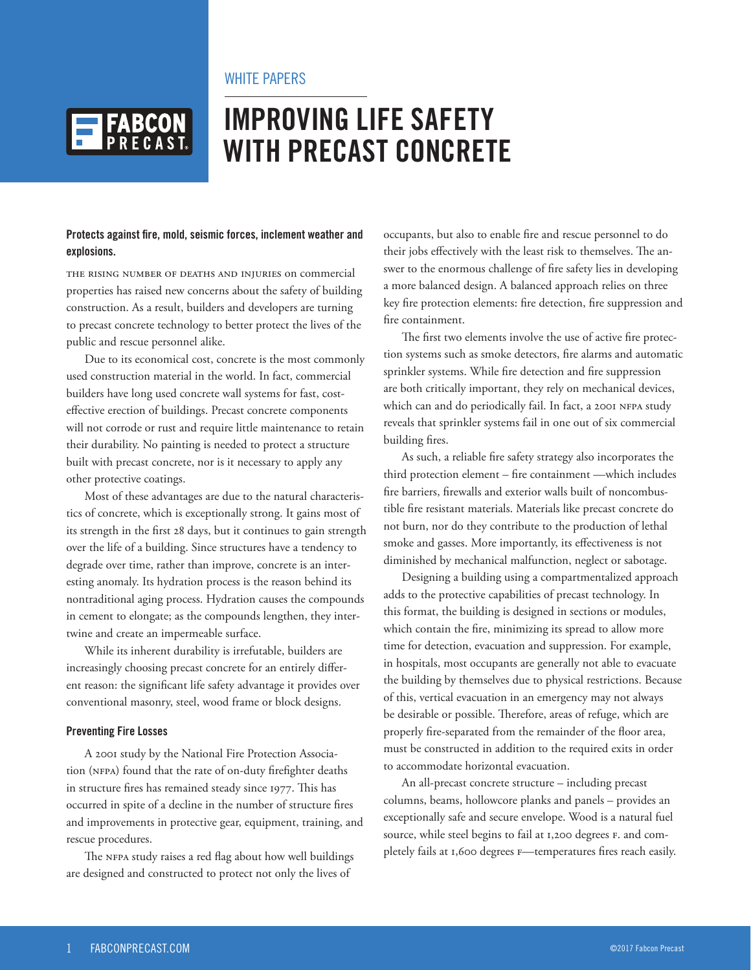# WHITE PAPERS



# **IMPROVING LIFE SAFETY WITH PRECAST CONCRETE**

## **Protects against fire, mold, seismic forces, inclement weather and explosions.**

The rising number of deaths and injuries on commercial properties has raised new concerns about the safety of building construction. As a result, builders and developers are turning to precast concrete technology to better protect the lives of the public and rescue personnel alike.

Due to its economical cost, concrete is the most commonly used construction material in the world. In fact, commercial builders have long used concrete wall systems for fast, costeffective erection of buildings. Precast concrete components will not corrode or rust and require little maintenance to retain their durability. No painting is needed to protect a structure built with precast concrete, nor is it necessary to apply any other protective coatings.

Most of these advantages are due to the natural characteristics of concrete, which is exceptionally strong. It gains most of its strength in the first 28 days, but it continues to gain strength over the life of a building. Since structures have a tendency to degrade over time, rather than improve, concrete is an interesting anomaly. Its hydration process is the reason behind its nontraditional aging process. Hydration causes the compounds in cement to elongate; as the compounds lengthen, they intertwine and create an impermeable surface.

While its inherent durability is irrefutable, builders are increasingly choosing precast concrete for an entirely different reason: the significant life safety advantage it provides over conventional masonry, steel, wood frame or block designs.

#### **Preventing Fire Losses**

A 2001 study by the National Fire Protection Association (NFPA) found that the rate of on-duty firefighter deaths in structure fires has remained steady since 1977. This has occurred in spite of a decline in the number of structure fires and improvements in protective gear, equipment, training, and rescue procedures.

The NFPA study raises a red flag about how well buildings are designed and constructed to protect not only the lives of

occupants, but also to enable fire and rescue personnel to do their jobs effectively with the least risk to themselves. The answer to the enormous challenge of fire safety lies in developing a more balanced design. A balanced approach relies on three key fire protection elements: fire detection, fire suppression and fire containment.

The first two elements involve the use of active fire protection systems such as smoke detectors, fire alarms and automatic sprinkler systems. While fire detection and fire suppression are both critically important, they rely on mechanical devices, which can and do periodically fail. In fact, a 2001 NFPA study reveals that sprinkler systems fail in one out of six commercial building fires.

As such, a reliable fire safety strategy also incorporates the third protection element – fire containment —which includes fire barriers, firewalls and exterior walls built of noncombustible fire resistant materials. Materials like precast concrete do not burn, nor do they contribute to the production of lethal smoke and gasses. More importantly, its effectiveness is not diminished by mechanical malfunction, neglect or sabotage.

Designing a building using a compartmentalized approach adds to the protective capabilities of precast technology. In this format, the building is designed in sections or modules, which contain the fire, minimizing its spread to allow more time for detection, evacuation and suppression. For example, in hospitals, most occupants are generally not able to evacuate the building by themselves due to physical restrictions. Because of this, vertical evacuation in an emergency may not always be desirable or possible. Therefore, areas of refuge, which are properly fire-separated from the remainder of the floor area, must be constructed in addition to the required exits in order to accommodate horizontal evacuation.

An all-precast concrete structure – including precast columns, beams, hollowcore planks and panels – provides an exceptionally safe and secure envelope. Wood is a natural fuel source, while steel begins to fail at 1,200 degrees F. and completely fails at 1,600 degrees F—temperatures fires reach easily.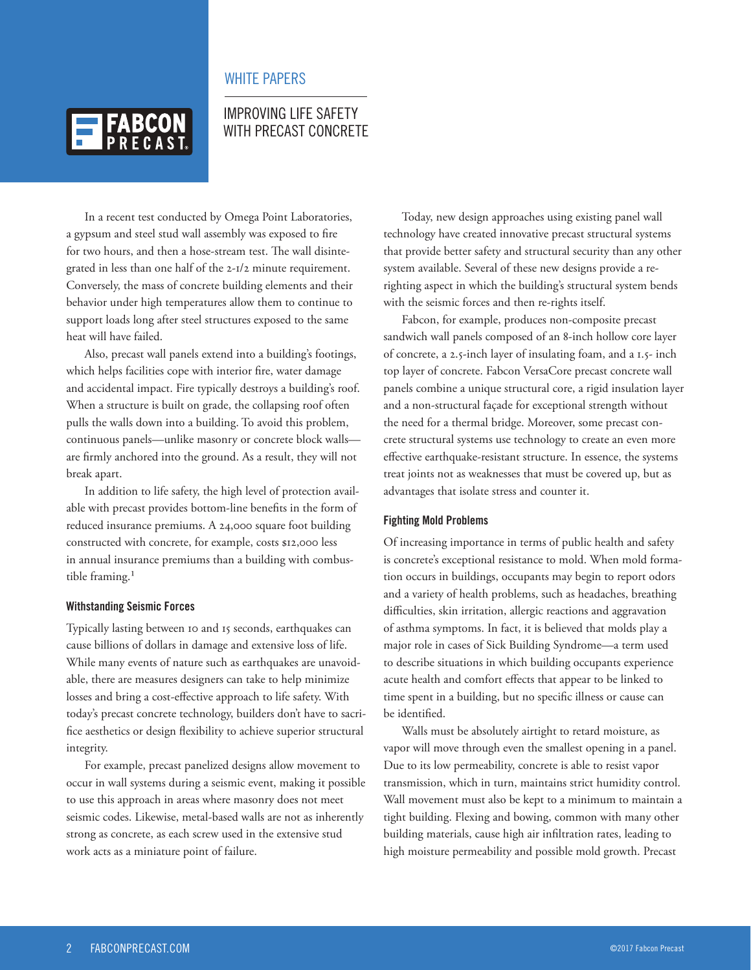# WHITE PAPERS



# IMPROVING LIFE SAFETY WITH PRECAST CONCRETE

In a recent test conducted by Omega Point Laboratories, a gypsum and steel stud wall assembly was exposed to fire for two hours, and then a hose-stream test. The wall disintegrated in less than one half of the 2-1/2 minute requirement. Conversely, the mass of concrete building elements and their behavior under high temperatures allow them to continue to support loads long after steel structures exposed to the same heat will have failed.

Also, precast wall panels extend into a building's footings, which helps facilities cope with interior fire, water damage and accidental impact. Fire typically destroys a building's roof. When a structure is built on grade, the collapsing roof often pulls the walls down into a building. To avoid this problem, continuous panels—unlike masonry or concrete block walls are firmly anchored into the ground. As a result, they will not break apart.

In addition to life safety, the high level of protection available with precast provides bottom-line benefits in the form of reduced insurance premiums. A 24,000 square foot building constructed with concrete, for example, costs \$12,000 less in annual insurance premiums than a building with combustible framing.<sup>1</sup>

#### **Withstanding Seismic Forces**

Typically lasting between 10 and 15 seconds, earthquakes can cause billions of dollars in damage and extensive loss of life. While many events of nature such as earthquakes are unavoidable, there are measures designers can take to help minimize losses and bring a cost-effective approach to life safety. With today's precast concrete technology, builders don't have to sacrifice aesthetics or design flexibility to achieve superior structural integrity.

For example, precast panelized designs allow movement to occur in wall systems during a seismic event, making it possible to use this approach in areas where masonry does not meet seismic codes. Likewise, metal-based walls are not as inherently strong as concrete, as each screw used in the extensive stud work acts as a miniature point of failure.

Today, new design approaches using existing panel wall technology have created innovative precast structural systems that provide better safety and structural security than any other system available. Several of these new designs provide a rerighting aspect in which the building's structural system bends with the seismic forces and then re-rights itself.

Fabcon, for example, produces non-composite precast sandwich wall panels composed of an 8-inch hollow core layer of concrete, a 2.5-inch layer of insulating foam, and a 1.5- inch top layer of concrete. Fabcon VersaCore precast concrete wall panels combine a unique structural core, a rigid insulation layer and a non-structural façade for exceptional strength without the need for a thermal bridge. Moreover, some precast concrete structural systems use technology to create an even more effective earthquake-resistant structure. In essence, the systems treat joints not as weaknesses that must be covered up, but as advantages that isolate stress and counter it.

#### **Fighting Mold Problems**

Of increasing importance in terms of public health and safety is concrete's exceptional resistance to mold. When mold formation occurs in buildings, occupants may begin to report odors and a variety of health problems, such as headaches, breathing difficulties, skin irritation, allergic reactions and aggravation of asthma symptoms. In fact, it is believed that molds play a major role in cases of Sick Building Syndrome—a term used to describe situations in which building occupants experience acute health and comfort effects that appear to be linked to time spent in a building, but no specific illness or cause can be identified.

Walls must be absolutely airtight to retard moisture, as vapor will move through even the smallest opening in a panel. Due to its low permeability, concrete is able to resist vapor transmission, which in turn, maintains strict humidity control. Wall movement must also be kept to a minimum to maintain a tight building. Flexing and bowing, common with many other building materials, cause high air infiltration rates, leading to high moisture permeability and possible mold growth. Precast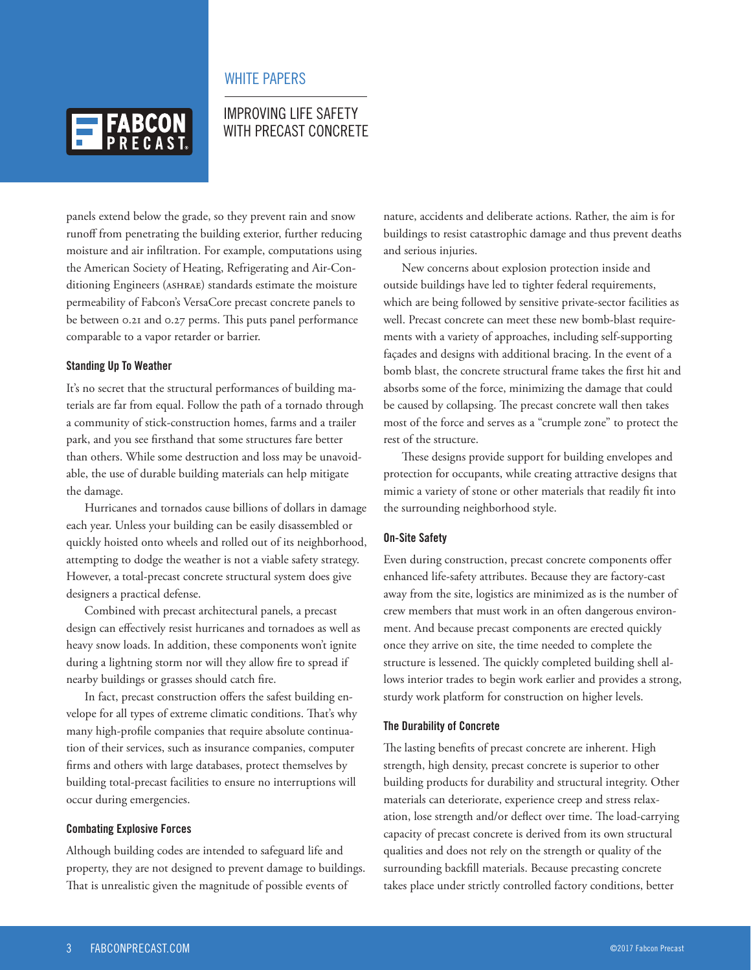

# WHITE PAPERS

# IMPROVING LIFE SAFETY WITH PRECAST CONCRETE

panels extend below the grade, so they prevent rain and snow runoff from penetrating the building exterior, further reducing moisture and air infiltration. For example, computations using the American Society of Heating, Refrigerating and Air-Conditioning Engineers (ASHRAE) standards estimate the moisture permeability of Fabcon's VersaCore precast concrete panels to be between 0.21 and 0.27 perms. This puts panel performance comparable to a vapor retarder or barrier.

#### **Standing Up To Weather**

It's no secret that the structural performances of building materials are far from equal. Follow the path of a tornado through a community of stick-construction homes, farms and a trailer park, and you see firsthand that some structures fare better than others. While some destruction and loss may be unavoidable, the use of durable building materials can help mitigate the damage.

Hurricanes and tornados cause billions of dollars in damage each year. Unless your building can be easily disassembled or quickly hoisted onto wheels and rolled out of its neighborhood, attempting to dodge the weather is not a viable safety strategy. However, a total-precast concrete structural system does give designers a practical defense.

Combined with precast architectural panels, a precast design can effectively resist hurricanes and tornadoes as well as heavy snow loads. In addition, these components won't ignite during a lightning storm nor will they allow fire to spread if nearby buildings or grasses should catch fire.

In fact, precast construction offers the safest building envelope for all types of extreme climatic conditions. That's why many high-profile companies that require absolute continuation of their services, such as insurance companies, computer firms and others with large databases, protect themselves by building total-precast facilities to ensure no interruptions will occur during emergencies.

#### **Combating Explosive Forces**

Although building codes are intended to safeguard life and property, they are not designed to prevent damage to buildings. That is unrealistic given the magnitude of possible events of

nature, accidents and deliberate actions. Rather, the aim is for buildings to resist catastrophic damage and thus prevent deaths and serious injuries.

New concerns about explosion protection inside and outside buildings have led to tighter federal requirements, which are being followed by sensitive private-sector facilities as well. Precast concrete can meet these new bomb-blast requirements with a variety of approaches, including self-supporting façades and designs with additional bracing. In the event of a bomb blast, the concrete structural frame takes the first hit and absorbs some of the force, minimizing the damage that could be caused by collapsing. The precast concrete wall then takes most of the force and serves as a "crumple zone" to protect the rest of the structure.

These designs provide support for building envelopes and protection for occupants, while creating attractive designs that mimic a variety of stone or other materials that readily fit into the surrounding neighborhood style.

#### **On-Site Safety**

Even during construction, precast concrete components offer enhanced life-safety attributes. Because they are factory-cast away from the site, logistics are minimized as is the number of crew members that must work in an often dangerous environment. And because precast components are erected quickly once they arrive on site, the time needed to complete the structure is lessened. The quickly completed building shell allows interior trades to begin work earlier and provides a strong, sturdy work platform for construction on higher levels.

#### **The Durability of Concrete**

The lasting benefits of precast concrete are inherent. High strength, high density, precast concrete is superior to other building products for durability and structural integrity. Other materials can deteriorate, experience creep and stress relaxation, lose strength and/or deflect over time. The load-carrying capacity of precast concrete is derived from its own structural qualities and does not rely on the strength or quality of the surrounding backfill materials. Because precasting concrete takes place under strictly controlled factory conditions, better